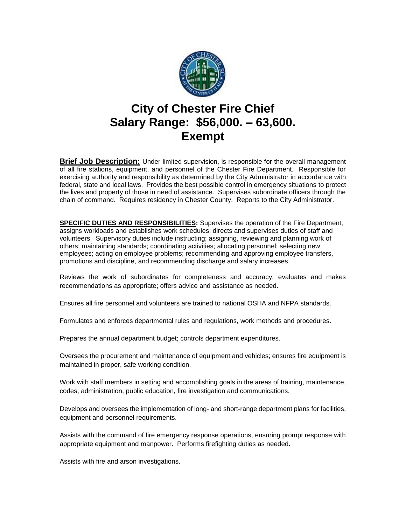

## **City of Chester Fire Chief Salary Range: \$56,000. – 63,600. Exempt**

**Brief Job Description:** Under limited supervision, is responsible for the overall management of all fire stations, equipment, and personnel of the Chester Fire Department. Responsible for exercising authority and responsibility as determined by the City Administrator in accordance with federal, state and local laws. Provides the best possible control in emergency situations to protect the lives and property of those in need of assistance. Supervises subordinate officers through the chain of command. Requires residency in Chester County. Reports to the City Administrator.

**SPECIFIC DUTIES AND RESPONSIBILITIES:** Supervises the operation of the Fire Department; assigns workloads and establishes work schedules; directs and supervises duties of staff and volunteers. Supervisory duties include instructing; assigning, reviewing and planning work of others; maintaining standards; coordinating activities; allocating personnel; selecting new employees; acting on employee problems; recommending and approving employee transfers, promotions and discipline, and recommending discharge and salary increases.

Reviews the work of subordinates for completeness and accuracy; evaluates and makes recommendations as appropriate; offers advice and assistance as needed.

Ensures all fire personnel and volunteers are trained to national OSHA and NFPA standards.

Formulates and enforces departmental rules and regulations, work methods and procedures.

Prepares the annual department budget; controls department expenditures.

Oversees the procurement and maintenance of equipment and vehicles; ensures fire equipment is maintained in proper, safe working condition.

Work with staff members in setting and accomplishing goals in the areas of training, maintenance, codes, administration, public education, fire investigation and communications.

Develops and oversees the implementation of long- and short-range department plans for facilities, equipment and personnel requirements.

Assists with the command of fire emergency response operations, ensuring prompt response with appropriate equipment and manpower. Performs firefighting duties as needed.

Assists with fire and arson investigations.